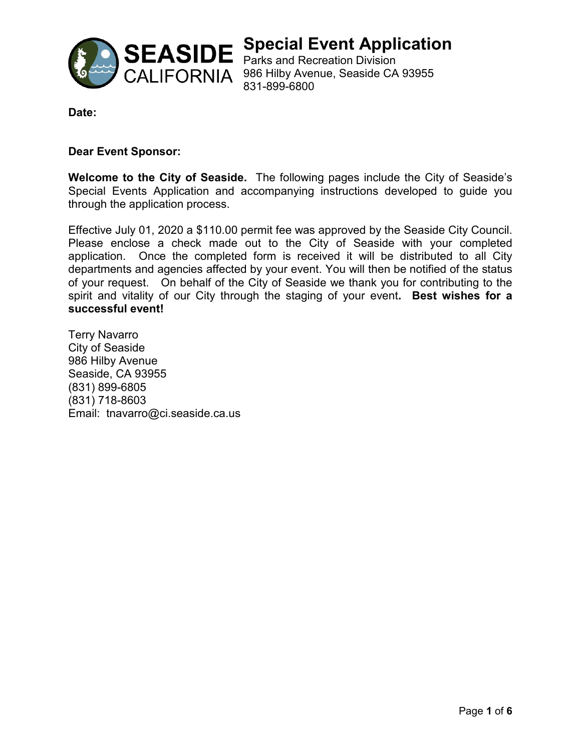

**Special Event Application**

CALIFORNIA 986 Hilby Avenue, Seaside CA 93955 831-899-6800

**Date:** 

### **Dear Event Sponsor:**

**Welcome to the City of Seaside.** The following pages include the City of Seaside's Special Events Application and accompanying instructions developed to guide you through the application process.

Effective July 01, 2020 a \$110.00 permit fee was approved by the Seaside City Council. Please enclose a check made out to the City of Seaside with your completed application. Once the completed form is received it will be distributed to all City departments and agencies affected by your event. You will then be notified of the status of your request. On behalf of the City of Seaside we thank you for contributing to the spirit and vitality of our City through the staging of your event**. Best wishes for a successful event!**

Terry Navarro City of Seaside 986 Hilby Avenue Seaside, CA 93955 (831) 899-6805 (831) 718-8603 Email: tnavarro@ci.seaside.ca.us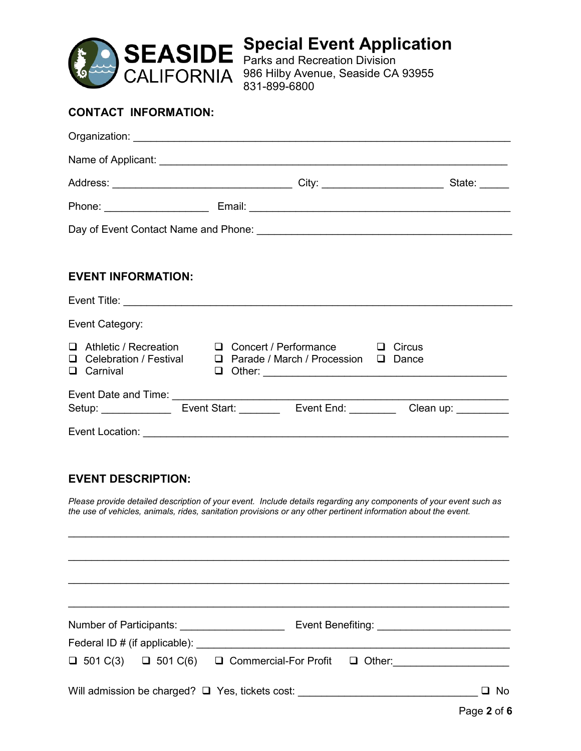

**Special Event Application** Parks and Recreation Division CALIFORNIA 986 Hilby Avenue, Seaside CA 93955 831-899-6800

### **CONTACT INFORMATION:**

|                           |                                                                                                                                           | State: $\frac{\phantom{1}}{\phantom{1}}$ |  |  |
|---------------------------|-------------------------------------------------------------------------------------------------------------------------------------------|------------------------------------------|--|--|
|                           |                                                                                                                                           |                                          |  |  |
|                           |                                                                                                                                           |                                          |  |  |
|                           |                                                                                                                                           |                                          |  |  |
| <b>EVENT INFORMATION:</b> |                                                                                                                                           |                                          |  |  |
|                           |                                                                                                                                           |                                          |  |  |
| Event Category:           |                                                                                                                                           |                                          |  |  |
| □ Carnival                | □ Athletic / Recreation □ Concert / Performance □ Circus<br>$\Box$ Celebration / Festival $\Box$ Parade / March / Procession $\Box$ Dance |                                          |  |  |
|                           | Setup: Event Start: Event End: Clean up:                                                                                                  |                                          |  |  |
| Event Location:           |                                                                                                                                           |                                          |  |  |

### **EVENT DESCRIPTION:**

*Please provide detailed description of your event. Include details regarding any components of your event such as the use of vehicles, animals, rides, sanitation provisions or any other pertinent information about the event.*

 $\mathcal{L}_\text{max}$  , and the contribution of the contribution of the contribution of the contribution of the contribution of the contribution of the contribution of the contribution of the contribution of the contribution of t

 $\mathcal{L}_\text{max}$  , and the contribution of the contribution of the contribution of the contribution of the contribution of the contribution of the contribution of the contribution of the contribution of the contribution of t

 $\mathcal{L}_\text{max}$  , and the contribution of the contribution of the contribution of the contribution of the contribution of the contribution of the contribution of the contribution of the contribution of the contribution of t \_\_\_\_\_\_\_\_\_\_\_\_\_\_\_\_\_\_\_\_\_\_\_\_\_\_\_\_\_\_\_\_\_\_\_\_\_\_\_\_\_\_\_\_\_\_\_\_\_\_\_\_\_\_\_\_\_\_\_\_\_\_\_\_\_\_\_\_\_\_\_\_\_\_\_\_ Number of Participants: \_\_\_\_\_\_\_\_\_\_\_\_\_\_\_\_\_\_ Event Benefiting: \_\_\_\_\_\_\_\_\_\_\_\_\_\_\_\_\_\_\_\_\_\_\_ Federal ID # (if applicable): \_\_\_\_\_\_\_\_\_\_\_\_\_\_\_\_\_\_\_\_\_\_\_\_\_\_\_\_\_\_\_\_\_\_\_\_\_\_\_\_\_\_\_\_\_\_\_\_\_\_\_\_\_\_  $\Box$  501 C(3)  $\Box$  501 C(6)  $\Box$  Commercial-For Profit  $\Box$  Other: Will admission be charged? Yes, tickets cost: \_\_\_\_\_\_\_\_\_\_\_\_\_\_\_\_\_\_\_\_\_\_\_\_\_\_\_\_\_\_\_ No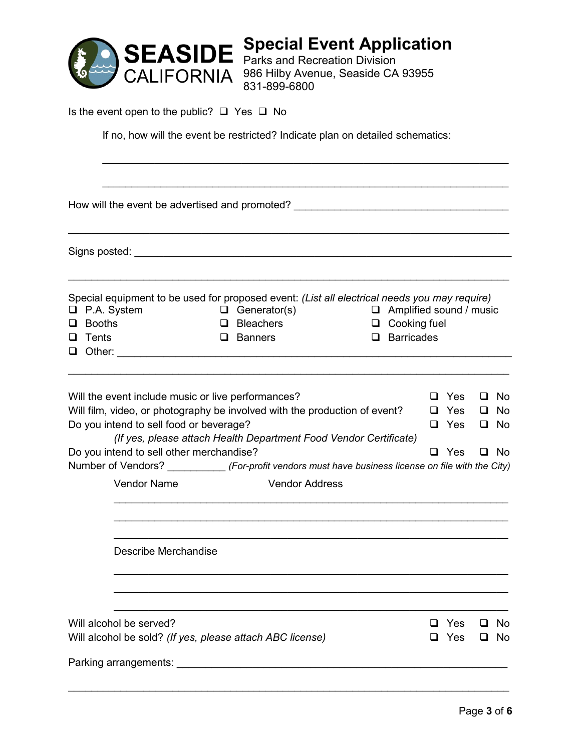

**Special Event Application** Parks and Recreation Division CALIFORNIA 986 Hilby Avenue, Seaside CA 93955 831-899-6800

Is the event open to the public?  $\Box$  Yes  $\Box$  No

If no, how will the event be restricted? Indicate plan on detailed schematics:

 $\mathcal{L}_\text{max}$  , and the contribution of the contribution of the contribution of the contribution of the contribution of the contribution of the contribution of the contribution of the contribution of the contribution of t  $\mathcal{L}_\mathcal{L} = \mathcal{L}_\mathcal{L} = \mathcal{L}_\mathcal{L} = \mathcal{L}_\mathcal{L} = \mathcal{L}_\mathcal{L} = \mathcal{L}_\mathcal{L} = \mathcal{L}_\mathcal{L} = \mathcal{L}_\mathcal{L} = \mathcal{L}_\mathcal{L} = \mathcal{L}_\mathcal{L} = \mathcal{L}_\mathcal{L} = \mathcal{L}_\mathcal{L} = \mathcal{L}_\mathcal{L} = \mathcal{L}_\mathcal{L} = \mathcal{L}_\mathcal{L} = \mathcal{L}_\mathcal{L} = \mathcal{L}_\mathcal{L}$ How will the event be advertised and promoted? \_\_\_\_\_\_\_\_\_\_\_\_\_\_\_\_\_\_\_\_\_\_\_\_\_\_\_\_\_\_\_\_\_ \_\_\_\_\_\_\_\_\_\_\_\_\_\_\_\_\_\_\_\_\_\_\_\_\_\_\_\_\_\_\_\_\_\_\_\_\_\_\_\_\_\_\_\_\_\_\_\_\_\_\_\_\_\_\_\_\_\_\_\_\_\_\_\_\_\_\_\_\_\_\_\_\_\_\_\_ Signs posted: \_\_\_\_\_\_\_\_\_\_\_\_\_\_\_\_\_\_\_\_\_\_\_\_\_\_\_\_\_\_\_\_\_\_\_\_\_\_\_\_\_\_\_\_\_\_\_\_\_\_\_\_\_\_\_\_\_\_\_\_\_\_\_\_\_  $\mathcal{L}_\mathcal{L} = \{ \mathcal{L}_\mathcal{L} = \{ \mathcal{L}_\mathcal{L} = \{ \mathcal{L}_\mathcal{L} = \{ \mathcal{L}_\mathcal{L} = \{ \mathcal{L}_\mathcal{L} = \{ \mathcal{L}_\mathcal{L} = \{ \mathcal{L}_\mathcal{L} = \{ \mathcal{L}_\mathcal{L} = \{ \mathcal{L}_\mathcal{L} = \{ \mathcal{L}_\mathcal{L} = \{ \mathcal{L}_\mathcal{L} = \{ \mathcal{L}_\mathcal{L} = \{ \mathcal{L}_\mathcal{L} = \{ \mathcal{L}_\mathcal{$ Special equipment to be used for proposed event: *(List all electrical needs you may require)*  $\Box$  P.A. System  $\Box$  Generator(s)  $\Box$  Amplified sound / music Booths Bleachers Cooking fuel **Q** Tents **Q** Banners **Q** Banners **Q** Barricades Other: \_\_\_\_\_\_\_\_\_\_\_\_\_\_\_\_\_\_\_\_\_\_\_\_\_\_\_\_\_\_\_\_\_\_\_\_\_\_\_\_\_\_\_\_\_\_\_\_\_\_\_\_\_\_\_\_\_\_\_\_\_\_\_\_\_\_\_\_ \_\_\_\_\_\_\_\_\_\_\_\_\_\_\_\_\_\_\_\_\_\_\_\_\_\_\_\_\_\_\_\_\_\_\_\_\_\_\_\_\_\_\_\_\_\_\_\_\_\_\_\_\_\_\_\_\_\_\_\_\_\_\_\_\_\_\_\_\_\_\_\_\_\_\_\_ Will the event include music or live performances?  $\Box$  Yes  $\Box$  No Will film, video, or photography be involved with the production of event?  $\Box$  Yes  $\Box$  No Do you intend to sell food or beverage? *(If yes, please attach Health Department Food Vendor Certificate)*  $\Box$  Yes  $\Box$  No Do you intend to sell other merchandise? 
<br>
Do you intend to sell other merchandise? Number of Vendors? \_\_\_\_\_\_\_\_\_\_ *(For-profit vendors must have business license on file with the City)* Vendor Name Vendor Address  $\frac{1}{2}$  ,  $\frac{1}{2}$  ,  $\frac{1}{2}$  ,  $\frac{1}{2}$  ,  $\frac{1}{2}$  ,  $\frac{1}{2}$  ,  $\frac{1}{2}$  ,  $\frac{1}{2}$  ,  $\frac{1}{2}$  ,  $\frac{1}{2}$  ,  $\frac{1}{2}$  ,  $\frac{1}{2}$  ,  $\frac{1}{2}$  ,  $\frac{1}{2}$  ,  $\frac{1}{2}$  ,  $\frac{1}{2}$  ,  $\frac{1}{2}$  ,  $\frac{1}{2}$  ,  $\frac{1$  $\overline{\phantom{a}}$  , and the contribution of the contribution of the contribution of the contribution of the contribution of the contribution of the contribution of the contribution of the contribution of the contribution of the  $\frac{1}{2}$  ,  $\frac{1}{2}$  ,  $\frac{1}{2}$  ,  $\frac{1}{2}$  ,  $\frac{1}{2}$  ,  $\frac{1}{2}$  ,  $\frac{1}{2}$  ,  $\frac{1}{2}$  ,  $\frac{1}{2}$  ,  $\frac{1}{2}$  ,  $\frac{1}{2}$  ,  $\frac{1}{2}$  ,  $\frac{1}{2}$  ,  $\frac{1}{2}$  ,  $\frac{1}{2}$  ,  $\frac{1}{2}$  ,  $\frac{1}{2}$  ,  $\frac{1}{2}$  ,  $\frac{1$  Describe Merchandise  $\frac{1}{2}$  ,  $\frac{1}{2}$  ,  $\frac{1}{2}$  ,  $\frac{1}{2}$  ,  $\frac{1}{2}$  ,  $\frac{1}{2}$  ,  $\frac{1}{2}$  ,  $\frac{1}{2}$  ,  $\frac{1}{2}$  ,  $\frac{1}{2}$  ,  $\frac{1}{2}$  ,  $\frac{1}{2}$  ,  $\frac{1}{2}$  ,  $\frac{1}{2}$  ,  $\frac{1}{2}$  ,  $\frac{1}{2}$  ,  $\frac{1}{2}$  ,  $\frac{1}{2}$  ,  $\frac{1$  $\overline{\phantom{a}}$  , and the contribution of the contribution of the contribution of the contribution of the contribution of the contribution of the contribution of the contribution of the contribution of the contribution of the  $\overline{\phantom{a}}$  , and the contribution of the contribution of the contribution of the contribution of the contribution of the contribution of the contribution of the contribution of the contribution of the contribution of the Will alcohol be served?  $\Box$  Yes  $\Box$  No Will alcohol be sold? *(If yes, please attach ABC license)*  $\Box$  Yes  $\Box$  No Parking arrangements:  $\Box$ \_\_\_\_\_\_\_\_\_\_\_\_\_\_\_\_\_\_\_\_\_\_\_\_\_\_\_\_\_\_\_\_\_\_\_\_\_\_\_\_\_\_\_\_\_\_\_\_\_\_\_\_\_\_\_\_\_\_\_\_\_\_\_\_\_\_\_\_\_\_\_\_\_\_\_\_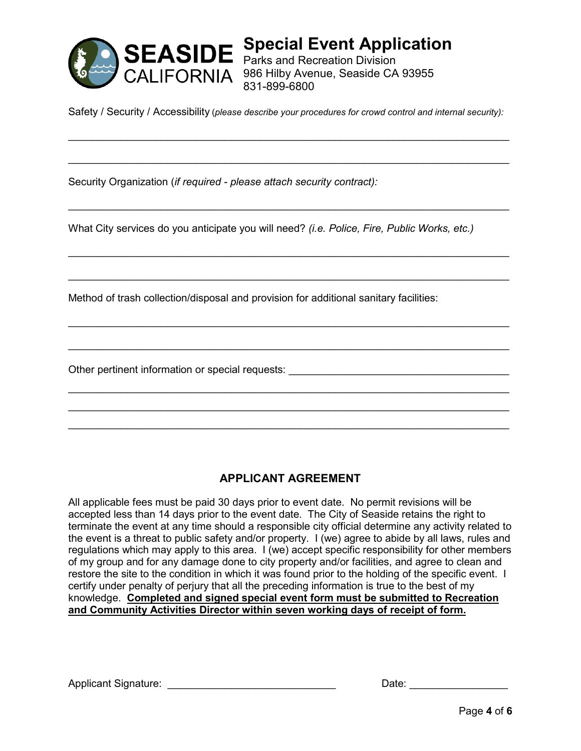

**Special Event Application** Parks and Recreation Division 986 Hilby Avenue, Seaside CA 93955 831-899-6800

Safety / Security / Accessibility (*please describe your procedures for crowd control and internal security):*

\_\_\_\_\_\_\_\_\_\_\_\_\_\_\_\_\_\_\_\_\_\_\_\_\_\_\_\_\_\_\_\_\_\_\_\_\_\_\_\_\_\_\_\_\_\_\_\_\_\_\_\_\_\_\_\_\_\_\_\_\_\_\_\_\_\_\_\_\_\_\_\_\_\_\_\_

 $\mathcal{L}_\text{max}$  , and the contribution of the contribution of the contribution of the contribution of the contribution of the contribution of the contribution of the contribution of the contribution of the contribution of t

\_\_\_\_\_\_\_\_\_\_\_\_\_\_\_\_\_\_\_\_\_\_\_\_\_\_\_\_\_\_\_\_\_\_\_\_\_\_\_\_\_\_\_\_\_\_\_\_\_\_\_\_\_\_\_\_\_\_\_\_\_\_\_\_\_\_\_\_\_\_\_\_\_\_\_\_

 $\mathcal{L}_\text{max}$  , and the contribution of the contribution of the contribution of the contribution of the contribution of the contribution of the contribution of the contribution of the contribution of the contribution of t

 $\mathcal{L}_\text{max}$  , and the contribution of the contribution of the contribution of the contribution of the contribution of the contribution of the contribution of the contribution of the contribution of the contribution of t

 $\mathcal{L}_\text{max}$  , and the contribution of the contribution of the contribution of the contribution of the contribution of the contribution of the contribution of the contribution of the contribution of the contribution of t

 $\mathcal{L}_\text{max}$  , and the set of the set of the set of the set of the set of the set of the set of the set of the set of the set of the set of the set of the set of the set of the set of the set of the set of the set of the

\_\_\_\_\_\_\_\_\_\_\_\_\_\_\_\_\_\_\_\_\_\_\_\_\_\_\_\_\_\_\_\_\_\_\_\_\_\_\_\_\_\_\_\_\_\_\_\_\_\_\_\_\_\_\_\_\_\_\_\_\_\_\_\_\_\_\_\_\_\_\_\_\_\_\_\_  $\mathcal{L}_\text{max}$  , and the contribution of the contribution of the contribution of the contribution of the contribution of the contribution of the contribution of the contribution of the contribution of the contribution of t  $\mathcal{L}_\text{max}$  , and the set of the set of the set of the set of the set of the set of the set of the set of the set of the set of the set of the set of the set of the set of the set of the set of the set of the set of the

Security Organization (*if required - please attach security contract):*

What City services do you anticipate you will need? *(i.e. Police, Fire, Public Works, etc.)*

Method of trash collection/disposal and provision for additional sanitary facilities:

Other pertinent information or special requests:  $\Box$ 

### **APPLICANT AGREEMENT**

All applicable fees must be paid 30 days prior to event date. No permit revisions will be accepted less than 14 days prior to the event date. The City of Seaside retains the right to terminate the event at any time should a responsible city official determine any activity related to the event is a threat to public safety and/or property. I (we) agree to abide by all laws, rules and regulations which may apply to this area. I (we) accept specific responsibility for other members of my group and for any damage done to city property and/or facilities, and agree to clean and restore the site to the condition in which it was found prior to the holding of the specific event. I certify under penalty of perjury that all the preceding information is true to the best of my knowledge. **Completed and signed special event form must be submitted to Recreation and Community Activities Director within seven working days of receipt of form.**

Applicant Signature: \_\_\_\_\_\_\_\_\_\_\_\_\_\_\_\_\_\_\_\_\_\_\_\_\_\_\_\_\_ Date: \_\_\_\_\_\_\_\_\_\_\_\_\_\_\_\_\_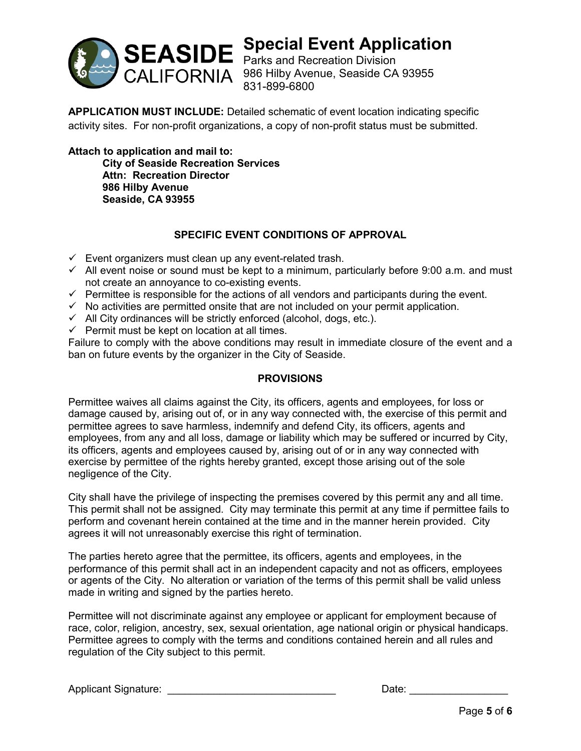

# **Special Event Application**

Parks and Recreation Division CALIFORNIA 986 Hilby Avenue, Seaside CA 93955 831-899-6800

**APPLICATION MUST INCLUDE:** Detailed schematic of event location indicating specific activity sites. For non-profit organizations, a copy of non-profit status must be submitted.

**Attach to application and mail to: City of Seaside Recreation Services Attn: Recreation Director 986 Hilby Avenue Seaside, CA 93955**

### **SPECIFIC EVENT CONDITIONS OF APPROVAL**

- $\checkmark$  Event organizers must clean up any event-related trash.
- $\checkmark$  All event noise or sound must be kept to a minimum, particularly before 9:00 a.m. and must not create an annoyance to co-existing events.
- $\checkmark$  Permittee is responsible for the actions of all vendors and participants during the event.
- $\checkmark$  No activities are permitted onsite that are not included on your permit application.
- $\checkmark$  All City ordinances will be strictly enforced (alcohol, dogs, etc.).
- $\checkmark$  Permit must be kept on location at all times.

Failure to comply with the above conditions may result in immediate closure of the event and a ban on future events by the organizer in the City of Seaside.

### **PROVISIONS**

Permittee waives all claims against the City, its officers, agents and employees, for loss or damage caused by, arising out of, or in any way connected with, the exercise of this permit and permittee agrees to save harmless, indemnify and defend City, its officers, agents and employees, from any and all loss, damage or liability which may be suffered or incurred by City, its officers, agents and employees caused by, arising out of or in any way connected with exercise by permittee of the rights hereby granted, except those arising out of the sole negligence of the City.

City shall have the privilege of inspecting the premises covered by this permit any and all time. This permit shall not be assigned. City may terminate this permit at any time if permittee fails to perform and covenant herein contained at the time and in the manner herein provided. City agrees it will not unreasonably exercise this right of termination.

The parties hereto agree that the permittee, its officers, agents and employees, in the performance of this permit shall act in an independent capacity and not as officers, employees or agents of the City. No alteration or variation of the terms of this permit shall be valid unless made in writing and signed by the parties hereto.

Permittee will not discriminate against any employee or applicant for employment because of race, color, religion, ancestry, sex, sexual orientation, age national origin or physical handicaps. Permittee agrees to comply with the terms and conditions contained herein and all rules and regulation of the City subject to this permit.

Applicant Signature: \_\_\_\_\_\_\_\_\_\_\_\_\_\_\_\_\_\_\_\_\_\_\_\_\_\_\_\_\_ Date: \_\_\_\_\_\_\_\_\_\_\_\_\_\_\_\_\_